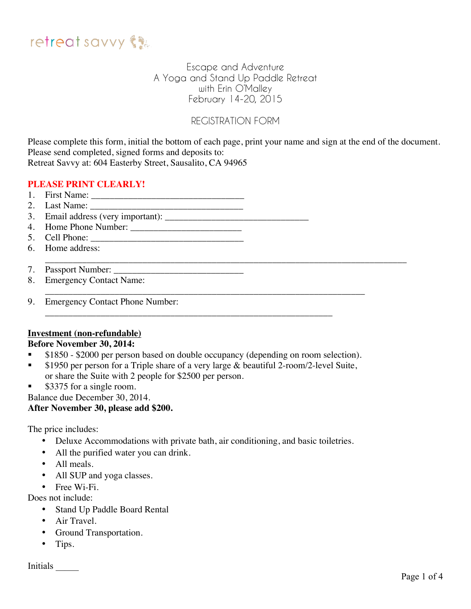

## Escape and Adventure A Yoga and Stand Up Paddle Retreat with Erin O'Malley February 14-20, 2015

# REGISTRATION FORM

Please complete this form, initial the bottom of each page, print your name and sign at the end of the document. Please send completed, signed forms and deposits to: Retreat Savvy at: 604 Easterby Street, Sausalito, CA 94965

## **PLEASE PRINT CLEARLY!**

- 1. First Name: \_\_\_\_\_\_\_\_\_\_\_\_\_\_\_\_\_\_\_\_\_\_\_\_\_\_\_\_\_\_\_\_\_
- 2. Last Name: \_\_\_\_\_\_\_\_\_\_\_\_\_\_\_\_\_\_\_\_\_\_\_\_\_\_\_\_\_\_\_\_\_
- 3. Email address (very important):
- 4. Home Phone Number: \_\_\_\_\_\_\_\_\_\_\_\_\_\_\_\_\_\_\_\_\_\_\_\_
- 5. Cell Phone: \_\_\_\_\_\_\_\_\_\_\_\_\_\_\_\_\_\_\_\_\_\_\_\_\_\_\_\_\_\_\_\_\_
- 6. Home address:
- \_\_\_\_\_\_\_\_\_\_\_\_\_\_\_\_\_\_\_\_\_\_\_\_\_\_\_\_\_\_\_\_\_\_\_\_\_\_\_\_\_\_\_\_\_\_\_\_\_\_\_\_\_\_\_\_\_\_\_\_\_\_\_\_\_\_\_\_\_\_\_\_\_\_\_\_\_\_ 7. Passport Number:
- 8. Emergency Contact Name:
- \_\_\_\_\_\_\_\_\_\_\_\_\_\_\_\_\_\_\_\_\_\_\_\_\_\_\_\_\_\_\_\_\_\_\_\_\_\_\_\_\_\_\_\_\_\_\_\_\_\_\_\_\_\_\_\_\_\_\_\_\_\_\_\_\_\_\_\_\_ 9. Emergency Contact Phone Number:

### **Investment (non-refundable)**

### **Before November 30, 2014:**

**\$1850 - \$2000 per person based on double occupancy (depending on room selection).** 

\_\_\_\_\_\_\_\_\_\_\_\_\_\_\_\_\_\_\_\_\_\_\_\_\_\_\_\_\_\_\_\_\_\_\_\_\_\_\_\_\_\_\_\_\_\_\_\_\_\_\_\_\_\_\_\_\_\_\_\_\_\_

- **\$1950 per person for a Triple share of a very large & beautiful 2-room/2-level Suite,** or share the Suite with 2 people for \$2500 per person.
- \$3375 for a single room.

Balance due December 30, 2014.

### **After November 30, please add \$200.**

The price includes:

- Deluxe Accommodations with private bath, air conditioning, and basic toiletries.
- All the purified water you can drink.
- All meals.
- All SUP and yoga classes.
- Free Wi-Fi.

Does not include:

- Stand Up Paddle Board Rental
- Air Travel.
- Ground Transportation.
- Tips.

Initials \_\_\_\_\_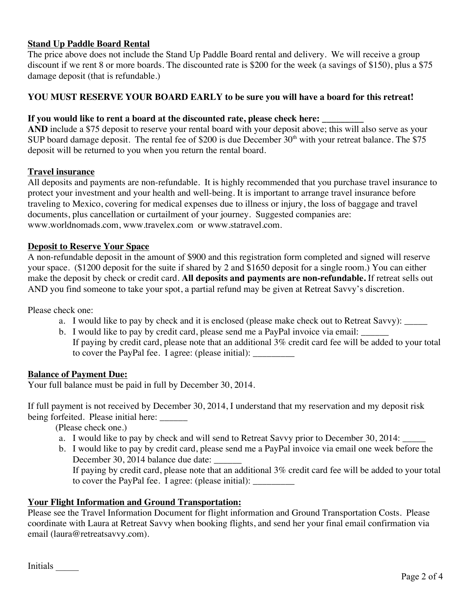## **Stand Up Paddle Board Rental**

The price above does not include the Stand Up Paddle Board rental and delivery. We will receive a group discount if we rent 8 or more boards. The discounted rate is \$200 for the week (a savings of \$150), plus a \$75 damage deposit (that is refundable.)

## **YOU MUST RESERVE YOUR BOARD EARLY to be sure you will have a board for this retreat!**

#### **If you would like to rent a board at the discounted rate, please check here:**

**AND** include a \$75 deposit to reserve your rental board with your deposit above; this will also serve as your SUP board damage deposit. The rental fee of \$200 is due December  $30<sup>th</sup>$  with your retreat balance. The \$75 deposit will be returned to you when you return the rental board.

#### **Travel insurance**

All deposits and payments are non-refundable. It is highly recommended that you purchase travel insurance to protect your investment and your health and well-being. It is important to arrange travel insurance before traveling to Mexico, covering for medical expenses due to illness or injury, the loss of baggage and travel documents, plus cancellation or curtailment of your journey. Suggested companies are: www.worldnomads.com, www.travelex.com or www.statravel.com.

#### **Deposit to Reserve Your Space**

A non-refundable deposit in the amount of \$900 and this registration form completed and signed will reserve your space. (\$1200 deposit for the suite if shared by 2 and \$1650 deposit for a single room.) You can either make the deposit by check or credit card. **All deposits and payments are non-refundable.** If retreat sells out AND you find someone to take your spot, a partial refund may be given at Retreat Savvy's discretion.

Please check one:

- a. I would like to pay by check and it is enclosed (please make check out to Retreat Savvy): \_\_\_\_\_
- b. I would like to pay by credit card, please send me a PayPal invoice via email: If paying by credit card, please note that an additional 3% credit card fee will be added to your total to cover the PayPal fee. I agree: (please initial): \_\_\_\_\_\_\_\_\_

#### **Balance of Payment Due:**

Your full balance must be paid in full by December 30, 2014.

If full payment is not received by December 30, 2014, I understand that my reservation and my deposit risk being forfeited. Please initial here: \_\_\_\_\_\_

(Please check one.)

- a. I would like to pay by check and will send to Retreat Savvy prior to December 30, 2014:
- b. I would like to pay by credit card, please send me a PayPal invoice via email one week before the December 30, 2014 balance due date:

If paying by credit card, please note that an additional 3% credit card fee will be added to your total to cover the PayPal fee. I agree: (please initial): \_\_\_\_\_\_\_\_\_\_\_\_\_\_\_\_\_\_\_\_\_\_\_\_\_\_\_\_\_

### **Your Flight Information and Ground Transportation:**

Please see the Travel Information Document for flight information and Ground Transportation Costs. Please coordinate with Laura at Retreat Savvy when booking flights, and send her your final email confirmation via email (laura@retreatsavvy.com).

Initials \_\_\_\_\_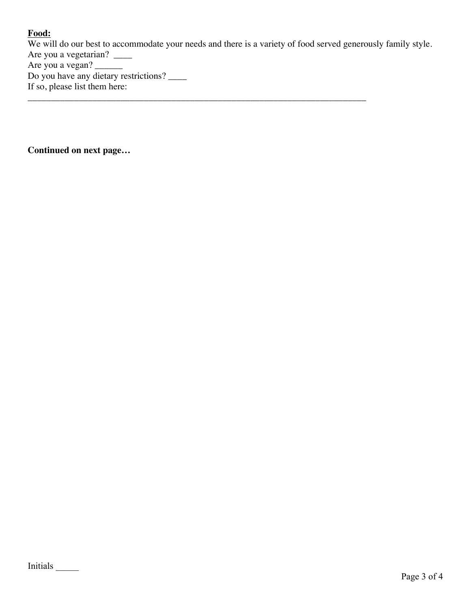# **Food:**

We will do our best to accommodate your needs and there is a variety of food served generously family style. Are you a vegetarian? \_\_\_\_\_ Are you a vegan? Do you have any dietary restrictions? If so, please list them here:

\_\_\_\_\_\_\_\_\_\_\_\_\_\_\_\_\_\_\_\_\_\_\_\_\_\_\_\_\_\_\_\_\_\_\_\_\_\_\_\_\_\_\_\_\_\_\_\_\_\_\_\_\_\_\_\_\_\_\_\_\_\_\_\_\_\_\_\_\_\_\_\_\_

**Continued on next page…**